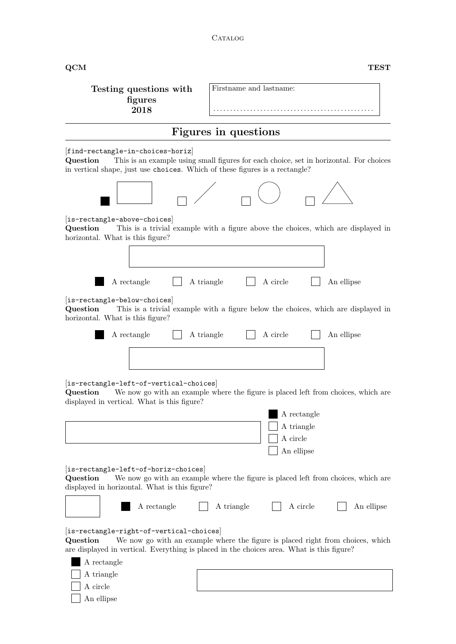## CATALOG

| $\overline{\text{QCM}}$                                                                                                      | <b>TEST</b>                                                                                                                                                                 |
|------------------------------------------------------------------------------------------------------------------------------|-----------------------------------------------------------------------------------------------------------------------------------------------------------------------------|
| Testing questions with<br>figures<br>2018                                                                                    | Firstname and lastname:<br>.                                                                                                                                                |
|                                                                                                                              | Figures in questions                                                                                                                                                        |
| [find-rectangle-in-choices-horiz]<br>Question<br>in vertical shape, just use choices. Which of these figures is a rectangle? | This is an example using small figures for each choice, set in horizontal. For choices                                                                                      |
|                                                                                                                              |                                                                                                                                                                             |
| [is-rectangle-above-choices]<br>Question<br>horizontal. What is this figure?                                                 | This is a trivial example with a figure above the choices, which are displayed in                                                                                           |
|                                                                                                                              |                                                                                                                                                                             |
| A rectangle                                                                                                                  | A circle<br>A triangle<br>An ellipse                                                                                                                                        |
| [is-rectangle-below-choices]<br>Question<br>horizontal. What is this figure?                                                 | This is a trivial example with a figure below the choices, which are displayed in                                                                                           |
| A rectangle                                                                                                                  | A circle<br>A triangle<br>An ellipse                                                                                                                                        |
|                                                                                                                              |                                                                                                                                                                             |
| [is-rectangle-left-of-vertical-choices]<br>Question<br>displayed in vertical. What is this figure?                           | We now go with an example where the figure is placed left from choices, which are                                                                                           |
|                                                                                                                              | A rectangle<br>A triangle<br>A circle<br>An ellipse                                                                                                                         |
| [is-rectangle-left-of-horiz-choices]<br>Question<br>displayed in horizontal. What is this figure?                            | We now go with an example where the figure is placed left from choices, which are                                                                                           |
| A rectangle                                                                                                                  | A circle<br>A triangle<br>An ellipse                                                                                                                                        |
| $\left  \text{is-rectangle-right-of-vertical-choices} \right $<br>Question                                                   | We now go with an example where the figure is placed right from choices, which<br>are displayed in vertical. Everything is placed in the choices area. What is this figure? |
| A rectangle                                                                                                                  |                                                                                                                                                                             |
| A triangle<br>A circle                                                                                                       |                                                                                                                                                                             |
| An ellipse                                                                                                                   |                                                                                                                                                                             |